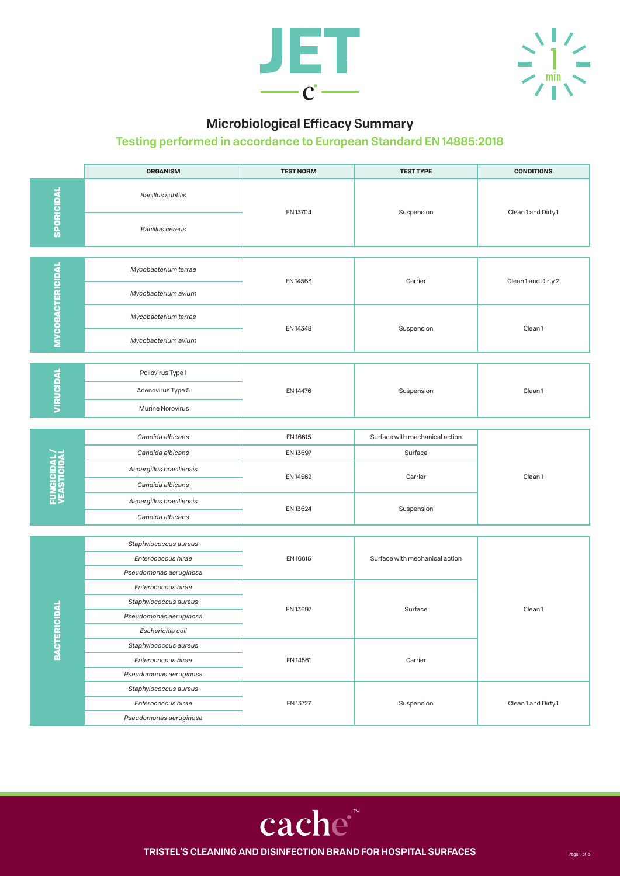



## **Microbiological Efficacy Summary**

## **Testing performed in accordance to European Standard EN 14885:2018**

| SPORICIDAL<br><b>Bacillus</b> subtilis<br>EN 13704<br>Suspension | Clean1 and Dirty1   |
|------------------------------------------------------------------|---------------------|
| <b>Bacillus cereus</b>                                           |                     |
|                                                                  |                     |
| Mycobacterium terrae<br>EN 14563<br>Carrier                      | Clean1 and Dirty 2  |
| <b>MYCOBACTERICIDAL</b><br>Mycobacterium avium                   |                     |
| Mycobacterium terrae<br>EN 14348<br>Suspension                   | Clean1              |
| Mycobacterium avium                                              |                     |
| Poliovirus Type 1                                                |                     |
| VIRUCIDAL<br>Adenovirus Type 5<br>EN 14476                       |                     |
| Suspension                                                       | Clean1              |
| Murine Norovirus                                                 |                     |
| Candida albicans<br>EN 16615<br>Surface with mechanical action   | Clean1              |
| Candida albicans<br>Surface<br>EN 13697                          |                     |
| <b>FUNGICIDAL/</b><br>VEASTICIDAL<br>Aspergillus brasiliensis    |                     |
| EN 14562<br>Carrier<br>Candida albicans                          |                     |
| Aspergillus brasiliensis                                         |                     |
| EN 13624<br>Suspension<br>Candida albicans                       |                     |
|                                                                  |                     |
| Staphylococcus aureus                                            |                     |
| Enterococcus hirae<br>EN 16615<br>Surface with mechanical action | Clean1              |
| Pseudomonas aeruginosa                                           |                     |
| Enterococcus hirae                                               |                     |
| Staphylococcus aureus<br>EN 13697<br>Surface                     |                     |
| <b>HIGIDAL</b><br>Pseudomonas aeruginosa                         |                     |
| Escherichia coli                                                 |                     |
| <b>BACTE</b><br>Staphylococcus aureus                            |                     |
| Enterococcus hirae<br>EN 14561<br>Carrier                        |                     |
| Pseudomonas aeruginosa                                           |                     |
| Staphylococcus aureus                                            | Clean 1 and Dirty 1 |
| Suspension<br>Enterococcus hirae<br>EN 13727                     |                     |
| Pseudomonas aeruginosa                                           |                     |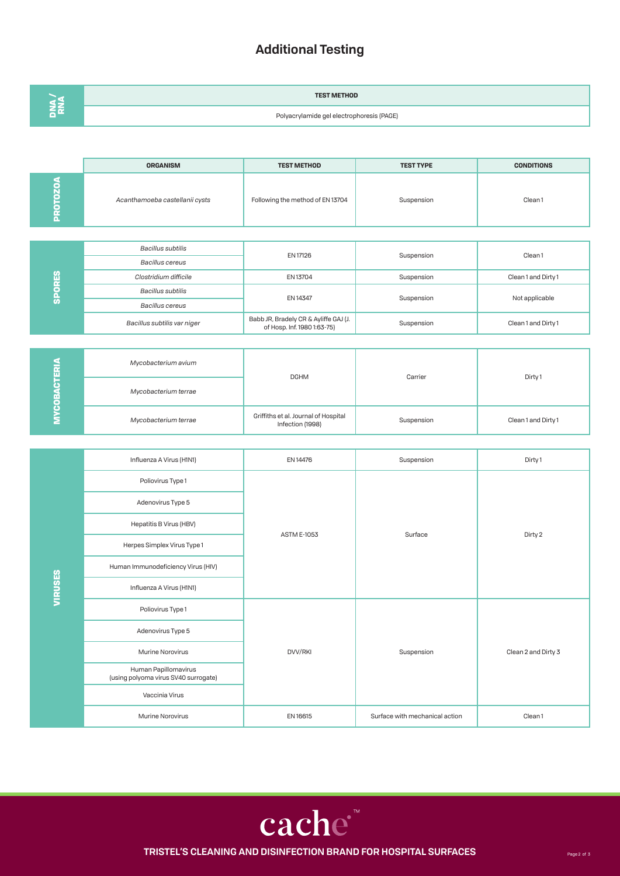## **Additional Testing**

| - 2 | <b>TEST METHOD</b>                        |  |
|-----|-------------------------------------------|--|
|     | Polyacrylamide gel electrophoresis (PAGE) |  |

|                     | <b>ORGANISM</b>                                              | <b>TEST METHOD</b>                                                   | <b>TEST TYPE</b>               | <b>CONDITIONS</b>   |
|---------------------|--------------------------------------------------------------|----------------------------------------------------------------------|--------------------------------|---------------------|
| <b>PROTOZOA</b>     | Acanthamoeba castellanii cysts                               | Following the method of EN 13704                                     | Suspension                     | Clean1              |
|                     |                                                              |                                                                      |                                |                     |
|                     | <b>Bacillus</b> subtilis                                     | EN 17126                                                             | Suspension                     | Clean1              |
|                     | <b>Bacillus cereus</b>                                       |                                                                      |                                |                     |
| <b>SPORES</b>       | Clostridium difficile                                        | EN 13704                                                             | Suspension                     | Clean1 and Dirty1   |
|                     | <b>Bacillus subtilis</b>                                     | EN 14347                                                             | Suspension                     | Not applicable      |
|                     | <b>Bacillus cereus</b>                                       |                                                                      |                                |                     |
|                     | Bacillus subtilis var niger                                  | Babb JR, Bradely CR & Ayliffe GAJ (J.<br>of Hosp. Inf. 1980 1:63-75) | Suspension                     | Clean1 and Dirty1   |
|                     |                                                              |                                                                      |                                |                     |
| <b>MYCOBACTERIA</b> | Mycobacterium avium                                          | <b>DGHM</b>                                                          | Carrier                        | Dirty1              |
|                     | Mycobacterium terrae                                         |                                                                      |                                |                     |
|                     | Mycobacterium terrae                                         | Griffiths et al. Journal of Hospital<br>Infection (1998)             | Suspension                     | Clean1 and Dirty1   |
|                     |                                                              |                                                                      |                                |                     |
|                     | Influenza A Virus (H1N1)                                     | EN 14476                                                             | Suspension                     | Dirty1              |
|                     | Poliovirus Type 1                                            | <b>ASTM E-1053</b>                                                   | Surface                        | Dirty 2             |
|                     | Adenovirus Type 5                                            |                                                                      |                                |                     |
|                     | Hepatitis B Virus (HBV)                                      |                                                                      |                                |                     |
|                     | Herpes Simplex Virus Type 1                                  |                                                                      |                                |                     |
|                     | Human Immunodeficiency Virus (HIV)                           |                                                                      |                                |                     |
| <b>VIRUSES</b>      | Influenza A Virus (H1N1)                                     |                                                                      |                                |                     |
|                     | Poliovirus Type 1                                            | DVV/RKI                                                              |                                |                     |
|                     | Adenovirus Type 5                                            |                                                                      |                                |                     |
|                     | Murine Norovirus                                             |                                                                      | Suspension                     | Clean 2 and Dirty 3 |
|                     | Human Papillomavirus<br>(using polyoma virus SV40 surrogate) |                                                                      |                                |                     |
|                     | Vaccinia Virus                                               |                                                                      |                                |                     |
|                     | Murine Norovirus                                             | EN 16615                                                             | Surface with mechanical action | Clean1              |